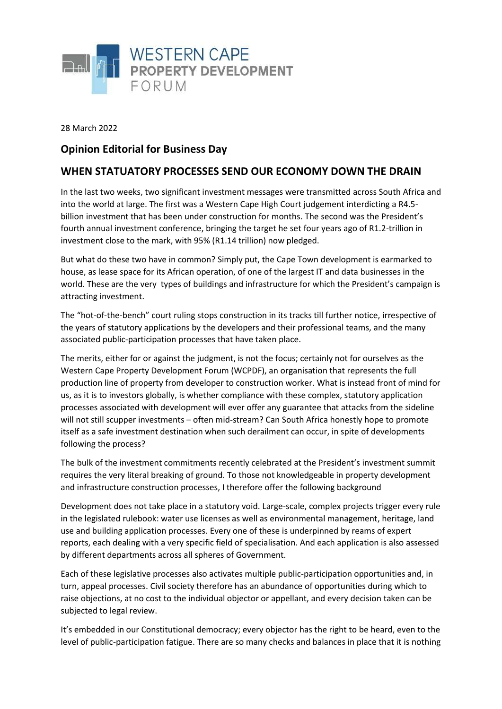

28 March 2022

## **Opinion Editorial for Business Day**

## **WHEN STATUATORY PROCESSES SEND OUR ECONOMY DOWN THE DRAIN**

In the last two weeks, two significant investment messages were transmitted across South Africa and into the world at large. The first was a Western Cape High Court judgement interdicting a R4.5 billion investment that has been under construction for months. The second was the President's fourth annual investment conference, bringing the target he set four years ago of R1.2-trillion in investment close to the mark, with 95% (R1.14 trillion) now pledged.

But what do these two have in common? Simply put, the Cape Town development is earmarked to house, as lease space for its African operation, of one of the largest IT and data businesses in the world. These are the very types of buildings and infrastructure for which the President's campaign is attracting investment.

The "hot-of-the-bench" court ruling stops construction in its tracks till further notice, irrespective of the years of statutory applications by the developers and their professional teams, and the many associated public-participation processes that have taken place.

The merits, either for or against the judgment, is not the focus; certainly not for ourselves as the Western Cape Property Development Forum (WCPDF), an organisation that represents the full production line of property from developer to construction worker. What is instead front of mind for us, as it is to investors globally, is whether compliance with these complex, statutory application processes associated with development will ever offer any guarantee that attacks from the sideline will not still scupper investments – often mid-stream? Can South Africa honestly hope to promote itself as a safe investment destination when such derailment can occur, in spite of developments following the process?

The bulk of the investment commitments recently celebrated at the President's investment summit requires the very literal breaking of ground. To those not knowledgeable in property development and infrastructure construction processes, I therefore offer the following background

Development does not take place in a statutory void. Large-scale, complex projects trigger every rule in the legislated rulebook: water use licenses as well as environmental management, heritage, land use and building application processes. Every one of these is underpinned by reams of expert reports, each dealing with a very specific field of specialisation. And each application is also assessed by different departments across all spheres of Government.

Each of these legislative processes also activates multiple public-participation opportunities and, in turn, appeal processes. Civil society therefore has an abundance of opportunities during which to raise objections, at no cost to the individual objector or appellant, and every decision taken can be subjected to legal review.

It's embedded in our Constitutional democracy; every objector has the right to be heard, even to the level of public-participation fatigue. There are so many checks and balances in place that it is nothing